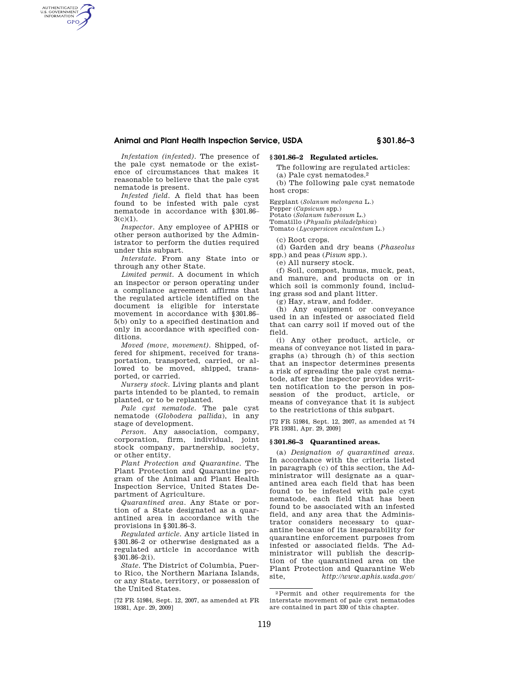## **Animal and Plant Health Inspection Service, USDA § 301.86–3**

*Infestation (infested).* The presence of the pale cyst nematode or the existence of circumstances that makes it reasonable to believe that the pale cyst nematode is present.

AUTHENTICATED<br>U.S. GOVERNMENT<br>INFORMATION **GPO** 

> *Infested field.* A field that has been found to be infested with pale cyst nematode in accordance with §301.86–  $3(c)(1)$ .

> *Inspector.* Any employee of APHIS or other person authorized by the Administrator to perform the duties required under this subpart.

> *Interstate.* From any State into or through any other State.

*Limited permit.* A document in which an inspector or person operating under a compliance agreement affirms that the regulated article identified on the document is eligible for interstate movement in accordance with §301.86– 5(b) only to a specified destination and only in accordance with specified conditions.

*Moved (move, movement).* Shipped, offered for shipment, received for transportation, transported, carried, or allowed to be moved, shipped, transported, or carried.

*Nursery stock.* Living plants and plant parts intended to be planted, to remain planted, or to be replanted.

*Pale cyst nematode.* The pale cyst nematode (*Globodera pallida*), in any stage of development.

*Person.* Any association, company, corporation, firm, individual, joint stock company, partnership, society, or other entity.

*Plant Protection and Quarantine.* The Plant Protection and Quarantine program of the Animal and Plant Health Inspection Service, United States Department of Agriculture.

*Quarantined area.* Any State or portion of a State designated as a quarantined area in accordance with the provisions in §301.86–3.

*Regulated article.* Any article listed in §301.86–2 or otherwise designated as a regulated article in accordance with §301.86–2(i).

*State.* The District of Columbia, Puerto Rico, the Northern Mariana Islands, or any State, territory, or possession of the United States.

[72 FR 51984, Sept. 12, 2007, as amended at FR 19381, Apr. 29, 2009]

## **§ 301.86–2 Regulated articles.**

The following are regulated articles: (a) Pale cyst nematodes.2

(b) The following pale cyst nematode host crops:

Eggplant (*Solanum melongena* L.)

Pepper (*Capsicum* spp.)

Potato (*Solanum tuberosum* L.)

Tomatillo (*Physalis philadelphica*)

Tomato (*Lycopersicon esculentum* L.)

(c) Root crops.

(d) Garden and dry beans (*Phaseolus*  spp.) and peas (*Pisum* spp.).

(e) All nursery stock.

(f) Soil, compost, humus, muck, peat, and manure, and products on or in which soil is commonly found, including grass sod and plant litter.

(g) Hay, straw, and fodder.

(h) Any equipment or conveyance used in an infested or associated field that can carry soil if moved out of the field.

(i) Any other product, article, or means of conveyance not listed in paragraphs (a) through (h) of this section that an inspector determines presents a risk of spreading the pale cyst nematode, after the inspector provides written notification to the person in possession of the product, article, or means of conveyance that it is subject to the restrictions of this subpart.

[72 FR 51984, Sept. 12, 2007, as amended at 74 FR 19381, Apr. 29, 2009]

## **§ 301.86–3 Quarantined areas.**

(a) *Designation of quarantined areas.*  In accordance with the criteria listed in paragraph (c) of this section, the Administrator will designate as a quarantined area each field that has been found to be infested with pale cyst nematode, each field that has been found to be associated with an infested field, and any area that the Administrator considers necessary to quarantine because of its inseparability for quarantine enforcement purposes from infested or associated fields. The Administrator will publish the description of the quarantined area on the Plant Protection and Quarantine Web site, *http://www.aphis.usda.gov/* 

<sup>2</sup>Permit and other requirements for the interstate movement of pale cyst nematodes are contained in part 330 of this chapter.